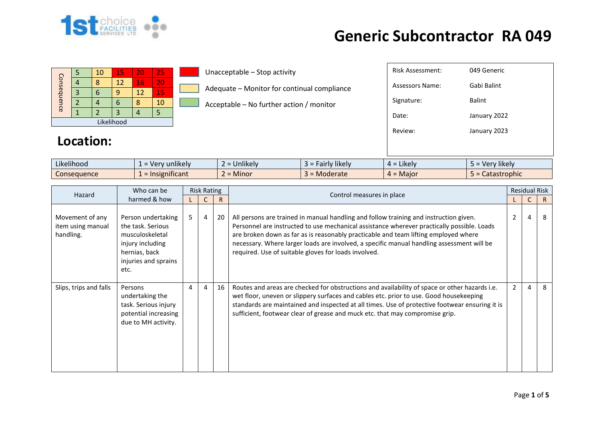

|             |  | 10 | 15 | 20 | 25 |  |  |  |  |  |  |
|-------------|--|----|----|----|----|--|--|--|--|--|--|
| Consequence |  | Я  | 12 | 16 | 20 |  |  |  |  |  |  |
|             |  |    |    | 12 | 15 |  |  |  |  |  |  |
|             |  |    |    | ñ  | 10 |  |  |  |  |  |  |
|             |  |    |    |    |    |  |  |  |  |  |  |
| Likelihood  |  |    |    |    |    |  |  |  |  |  |  |

Unacceptable – Stop activity

Adequate – Monitor for continual compliance

 $\Box$  Acceptable – No further action / monitor

#### **Location:**

| $4 = 1$<br>kelv         | 5 = Very likely |
|-------------------------|-----------------|
|                         |                 |
| Review:                 | January 2023    |
| Date:                   | January 2022    |
| Signature:              | <b>Balint</b>   |
| <b>Assessors Name:</b>  | Gabi Balint     |
| <b>Risk Assessment:</b> | 049 Generic     |

| $\cdots$<br>$\cdots$<br>Likelihood | sunlikely <b>s</b><br><b>Ver</b> | $\cdots$<br><b>Unlikel</b> | $\cdots$<br><b>Hikely</b><br>$-100$<br>all | $\cdot$ .<br><b>Likely</b><br>$\Delta =$ | $\cdots$<br>/ likel\<br>- Ver |
|------------------------------------|----------------------------------|----------------------------|--------------------------------------------|------------------------------------------|-------------------------------|
| Consequence                        | .<br>Insignificant               | .<br>Minor                 | <b>Moderate</b>                            | Maior<br>$\Delta =$                      | stastrophic<br>calası         |

| Hazard                                            | Who can be                                                                                                                      | <b>Risk Rating</b> |                |    |                                                                                                                                                                                                                                                                                                                                                                                                                                 |                | <b>Residual Risk</b> |    |
|---------------------------------------------------|---------------------------------------------------------------------------------------------------------------------------------|--------------------|----------------|----|---------------------------------------------------------------------------------------------------------------------------------------------------------------------------------------------------------------------------------------------------------------------------------------------------------------------------------------------------------------------------------------------------------------------------------|----------------|----------------------|----|
|                                                   | harmed & how                                                                                                                    |                    |                | R  | Control measures in place                                                                                                                                                                                                                                                                                                                                                                                                       |                |                      | R. |
| Movement of any<br>item using manual<br>handling. | Person undertaking<br>the task. Serious<br>musculoskeletal<br>injury including<br>hernias, back<br>injuries and sprains<br>etc. | 5                  | $\overline{4}$ | 20 | All persons are trained in manual handling and follow training and instruction given.<br>Personnel are instructed to use mechanical assistance wherever practically possible. Loads<br>are broken down as far as is reasonably practicable and team lifting employed where<br>necessary. Where larger loads are involved, a specific manual handling assessment will be<br>required. Use of suitable gloves for loads involved. | $\overline{2}$ | 4                    | 8  |
| Slips, trips and falls                            | Persons<br>undertaking the<br>task. Serious injury<br>potential increasing<br>due to MH activity.                               | 4                  | 4              | 16 | Routes and areas are checked for obstructions and availability of space or other hazards i.e.<br>wet floor, uneven or slippery surfaces and cables etc. prior to use. Good housekeeping<br>standards are maintained and inspected at all times. Use of protective footwear ensuring it is<br>sufficient, footwear clear of grease and muck etc. that may compromise grip.                                                       | $\mathfrak{D}$ | 4                    | 8  |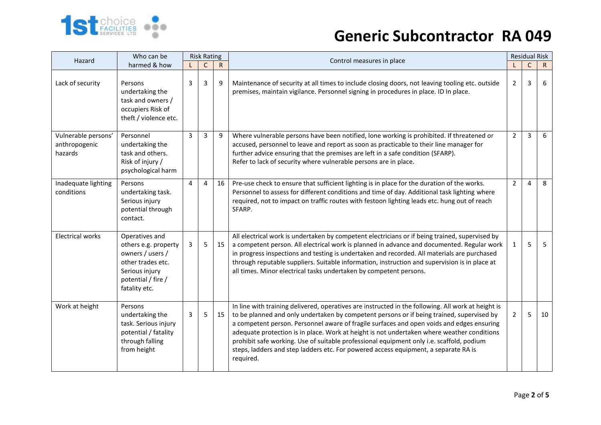

| Hazard                                          | Who can be                                                                                                                               | <b>Risk Rating</b> |                |              |                                                                                                                                                                                                                                                                                                                                                                                                                                                                                                                                                                                            |                | <b>Residual Risk</b> |    |
|-------------------------------------------------|------------------------------------------------------------------------------------------------------------------------------------------|--------------------|----------------|--------------|--------------------------------------------------------------------------------------------------------------------------------------------------------------------------------------------------------------------------------------------------------------------------------------------------------------------------------------------------------------------------------------------------------------------------------------------------------------------------------------------------------------------------------------------------------------------------------------------|----------------|----------------------|----|
|                                                 | harmed & how                                                                                                                             |                    | $\mathsf{C}$   | $\mathsf{R}$ | Control measures in place                                                                                                                                                                                                                                                                                                                                                                                                                                                                                                                                                                  |                | C                    | R  |
| Lack of security                                | Persons<br>undertaking the<br>task and owners /<br>occupiers Risk of<br>theft / violence etc.                                            | 3                  | 3              | 9            | Maintenance of security at all times to include closing doors, not leaving tooling etc. outside<br>premises, maintain vigilance. Personnel signing in procedures in place. ID In place.                                                                                                                                                                                                                                                                                                                                                                                                    | 2              | 3                    | 6  |
| Vulnerable persons'<br>anthropogenic<br>hazards | Personnel<br>undertaking the<br>task and others.<br>Risk of injury /<br>psychological harm                                               | 3                  | 3              | 9            | Where vulnerable persons have been notified, lone working is prohibited. If threatened or<br>accused, personnel to leave and report as soon as practicable to their line manager for<br>further advice ensuring that the premises are left in a safe condition (SFARP).<br>Refer to lack of security where vulnerable persons are in place.                                                                                                                                                                                                                                                | $\overline{2}$ | 3                    | 6  |
| Inadequate lighting<br>conditions               | Persons<br>undertaking task.<br>Serious injury<br>potential through<br>contact.                                                          | 4                  | $\overline{4}$ | 16           | Pre-use check to ensure that sufficient lighting is in place for the duration of the works.<br>Personnel to assess for different conditions and time of day. Additional task lighting where<br>required, not to impact on traffic routes with festoon lighting leads etc. hung out of reach<br>SFARP.                                                                                                                                                                                                                                                                                      | $\overline{2}$ | 4                    | 8  |
| <b>Electrical works</b>                         | Operatives and<br>others e.g. property<br>owners / users /<br>other trades etc.<br>Serious injury<br>potential / fire /<br>fatality etc. | 3                  | 5              | 15           | All electrical work is undertaken by competent electricians or if being trained, supervised by<br>a competent person. All electrical work is planned in advance and documented. Regular work<br>in progress inspections and testing is undertaken and recorded. All materials are purchased<br>through reputable suppliers. Suitable information, instruction and supervision is in place at<br>all times. Minor electrical tasks undertaken by competent persons.                                                                                                                         | $\mathbf{1}$   | 5                    | 5  |
| Work at height                                  | Persons<br>undertaking the<br>task. Serious injury<br>potential / fatality<br>through falling<br>from height                             | 3                  | 5              | 15           | In line with training delivered, operatives are instructed in the following. All work at height is<br>to be planned and only undertaken by competent persons or if being trained, supervised by<br>a competent person. Personnel aware of fragile surfaces and open voids and edges ensuring<br>adequate protection is in place. Work at height is not undertaken where weather conditions<br>prohibit safe working. Use of suitable professional equipment only i.e. scaffold, podium<br>steps, ladders and step ladders etc. For powered access equipment, a separate RA is<br>required. | $\overline{2}$ | 5                    | 10 |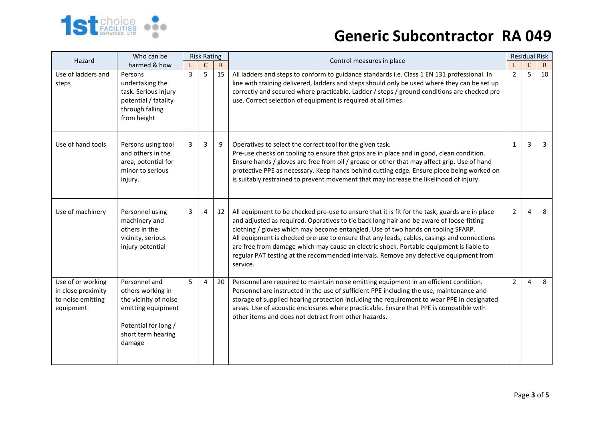

| Hazard                                                                    | Who can be                                                                                                                                | <b>Risk Rating</b> |             |             | Control measures in place                                                                                                                                                                                                                                                                                                                                                                                                                                                                                                                                                    | <b>Residual Risk</b> |              |              |
|---------------------------------------------------------------------------|-------------------------------------------------------------------------------------------------------------------------------------------|--------------------|-------------|-------------|------------------------------------------------------------------------------------------------------------------------------------------------------------------------------------------------------------------------------------------------------------------------------------------------------------------------------------------------------------------------------------------------------------------------------------------------------------------------------------------------------------------------------------------------------------------------------|----------------------|--------------|--------------|
|                                                                           | harmed & how                                                                                                                              |                    | $\mathsf C$ | $\mathsf R$ |                                                                                                                                                                                                                                                                                                                                                                                                                                                                                                                                                                              |                      | $\mathsf{C}$ | $\mathsf{R}$ |
| Use of ladders and<br>steps                                               | Persons<br>undertaking the<br>task. Serious injury<br>potential / fatality<br>through falling<br>from height                              | $\overline{3}$     | 5           | 15          | All ladders and steps to conform to guidance standards i.e. Class 1 EN 131 professional. In<br>line with training delivered, ladders and steps should only be used where they can be set up<br>correctly and secured where practicable. Ladder / steps / ground conditions are checked pre-<br>use. Correct selection of equipment is required at all times.                                                                                                                                                                                                                 | $\overline{2}$       | 5            | 10           |
| Use of hand tools                                                         | Persons using tool<br>and others in the<br>area, potential for<br>minor to serious<br>injury.                                             | 3                  | 3           | 9           | Operatives to select the correct tool for the given task.<br>Pre-use checks on tooling to ensure that grips are in place and in good, clean condition.<br>Ensure hands / gloves are free from oil / grease or other that may affect grip. Use of hand<br>protective PPE as necessary. Keep hands behind cutting edge. Ensure piece being worked on<br>is suitably restrained to prevent movement that may increase the likelihood of injury.                                                                                                                                 | 1                    | 3            | 3            |
| Use of machinery                                                          | Personnel using<br>machinery and<br>others in the<br>vicinity, serious<br>injury potential                                                | 3                  | 4           | 12          | All equipment to be checked pre-use to ensure that it is fit for the task, guards are in place<br>and adjusted as required. Operatives to tie back long hair and be aware of loose-fitting<br>clothing / gloves which may become entangled. Use of two hands on tooling SFARP.<br>All equipment is checked pre-use to ensure that any leads, cables, casings and connections<br>are free from damage which may cause an electric shock. Portable equipment is liable to<br>regular PAT testing at the recommended intervals. Remove any defective equipment from<br>service. | $\overline{2}$       | 4            | 8            |
| Use of or working<br>in close proximity<br>to noise emitting<br>equipment | Personnel and<br>others working in<br>the vicinity of noise<br>emitting equipment<br>Potential for long /<br>short term hearing<br>damage | 5                  | 4           | 20          | Personnel are required to maintain noise emitting equipment in an efficient condition.<br>Personnel are instructed in the use of sufficient PPE including the use, maintenance and<br>storage of supplied hearing protection including the requirement to wear PPE in designated<br>areas. Use of acoustic enclosures where practicable. Ensure that PPE is compatible with<br>other items and does not detract from other hazards.                                                                                                                                          | $\overline{2}$       | 4            | 8            |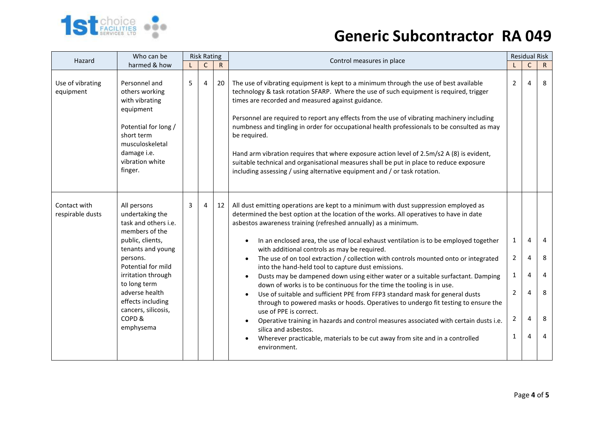

| Hazard                           | Who can be                                                                                                                                                                                                                                                                    | <b>Risk Rating</b> |              |              | Control measures in place                                                                                                                                                                                                                                                                                                                                                                                                                                                                                                                                                                                                                                                                                                                                                                                                                                                                                                                                                                                                                                                                                                                                               | <b>Residual Risk</b>                               |                            |                            |
|----------------------------------|-------------------------------------------------------------------------------------------------------------------------------------------------------------------------------------------------------------------------------------------------------------------------------|--------------------|--------------|--------------|-------------------------------------------------------------------------------------------------------------------------------------------------------------------------------------------------------------------------------------------------------------------------------------------------------------------------------------------------------------------------------------------------------------------------------------------------------------------------------------------------------------------------------------------------------------------------------------------------------------------------------------------------------------------------------------------------------------------------------------------------------------------------------------------------------------------------------------------------------------------------------------------------------------------------------------------------------------------------------------------------------------------------------------------------------------------------------------------------------------------------------------------------------------------------|----------------------------------------------------|----------------------------|----------------------------|
|                                  | harmed & how                                                                                                                                                                                                                                                                  |                    | $\mathsf{C}$ | $\mathsf{R}$ |                                                                                                                                                                                                                                                                                                                                                                                                                                                                                                                                                                                                                                                                                                                                                                                                                                                                                                                                                                                                                                                                                                                                                                         |                                                    | $\mathsf C$                | $\mathsf{R}$               |
| Use of vibrating<br>equipment    | Personnel and<br>others working<br>with vibrating<br>equipment<br>Potential for long /<br>short term<br>musculoskeletal<br>damage i.e.<br>vibration white<br>finger.                                                                                                          | 5                  | 4            | 20           | The use of vibrating equipment is kept to a minimum through the use of best available<br>technology & task rotation SFARP. Where the use of such equipment is required, trigger<br>times are recorded and measured against guidance.<br>Personnel are required to report any effects from the use of vibrating machinery including<br>numbness and tingling in order for occupational health professionals to be consulted as may<br>be required.<br>Hand arm vibration requires that where exposure action level of 2.5m/s2 A (8) is evident,<br>suitable technical and organisational measures shall be put in place to reduce exposure<br>including assessing / using alternative equipment and / or task rotation.                                                                                                                                                                                                                                                                                                                                                                                                                                                  | $\overline{2}$                                     | 4                          | 8                          |
| Contact with<br>respirable dusts | All persons<br>undertaking the<br>task and others i.e.<br>members of the<br>public, clients,<br>tenants and young<br>persons.<br>Potential for mild<br>irritation through<br>to long term<br>adverse health<br>effects including<br>cancers, silicosis,<br>COPD&<br>emphysema | 3                  | 4            | 12           | All dust emitting operations are kept to a minimum with dust suppression employed as<br>determined the best option at the location of the works. All operatives to have in date<br>asbestos awareness training (refreshed annually) as a minimum.<br>In an enclosed area, the use of local exhaust ventilation is to be employed together<br>with additional controls as may be required.<br>The use of on tool extraction / collection with controls mounted onto or integrated<br>into the hand-held tool to capture dust emissions.<br>Dusts may be dampened down using either water or a suitable surfactant. Damping<br>$\bullet$<br>down of works is to be continuous for the time the tooling is in use.<br>Use of suitable and sufficient PPE from FFP3 standard mask for general dusts<br>$\bullet$<br>through to powered masks or hoods. Operatives to undergo fit testing to ensure the<br>use of PPE is correct.<br>Operative training in hazards and control measures associated with certain dusts i.e.<br>$\bullet$<br>silica and asbestos.<br>Wherever practicable, materials to be cut away from site and in a controlled<br>$\bullet$<br>environment. | 1<br>2<br>1<br>2<br>$\overline{2}$<br>$\mathbf{1}$ | 4<br>4<br>4<br>4<br>4<br>4 | 4<br>8<br>4<br>8<br>8<br>4 |